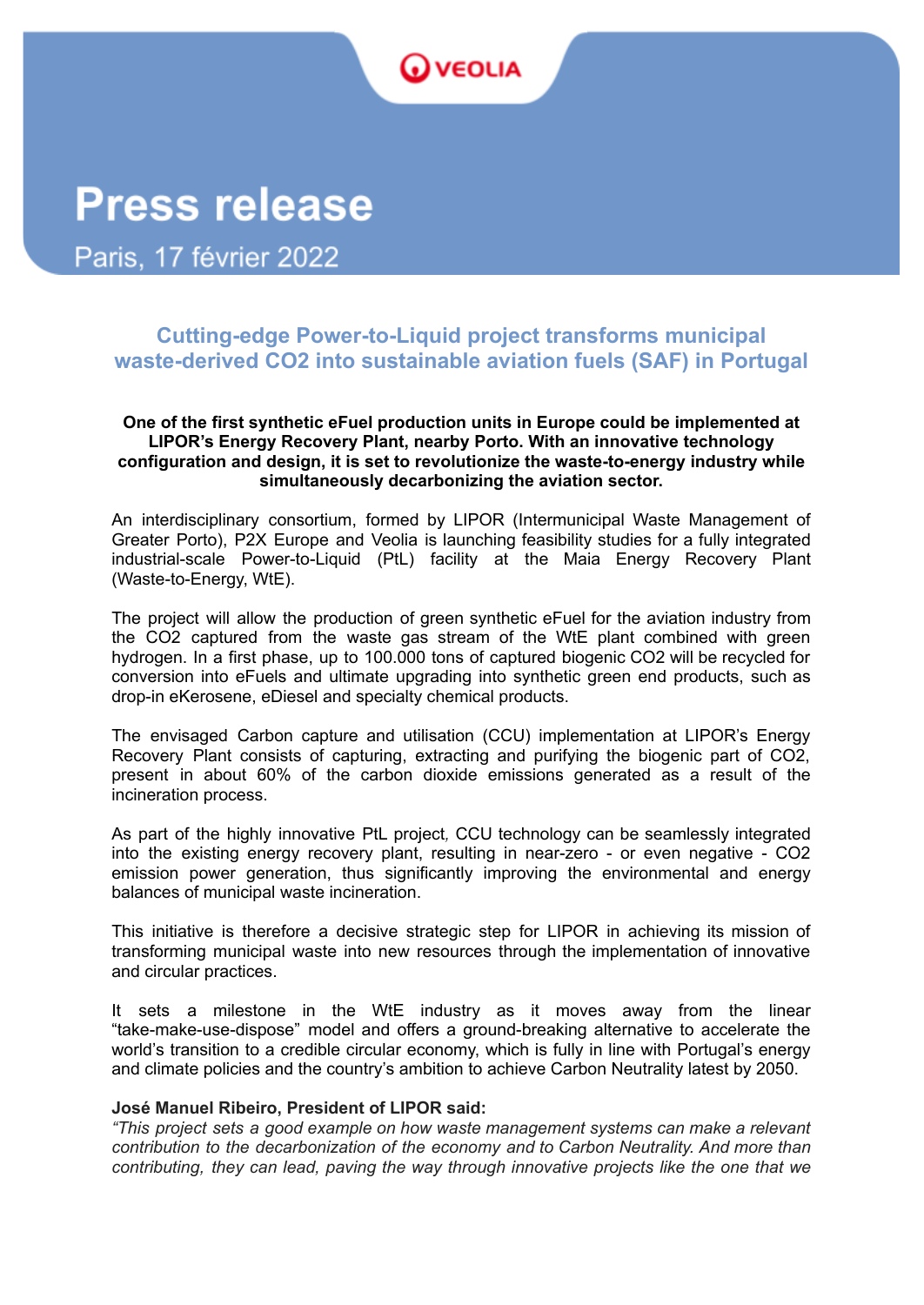## **VEOLIA**

# **Press release**

Paris, 17 février 2022

### **Cutting-edge Power-to-Liquid project transforms municipal waste-derived CO2 into sustainable aviation fuels (SAF) in Portugal**

#### **One of the first synthetic eFuel production units in Europe could be implemented at LIPOR's Energy Recovery Plant, nearby Porto. With an innovative technology configuration and design, it is set to revolutionize the waste-to-energy industry while simultaneously decarbonizing the aviation sector.**

An interdisciplinary consortium, formed by LIPOR (Intermunicipal Waste Management of Greater Porto), P2X Europe and Veolia is launching feasibility studies for a fully integrated industrial-scale Power-to-Liquid (PtL) facility at the Maia Energy Recovery Plant (Waste-to-Energy, WtE).

The project will allow the production of green synthetic eFuel for the aviation industry from the CO2 captured from the waste gas stream of the WtE plant combined with green hydrogen. In a first phase, up to 100.000 tons of captured biogenic CO2 will be recycled for conversion into eFuels and ultimate upgrading into synthetic green end products, such as drop-in eKerosene, eDiesel and specialty chemical products.

The envisaged Carbon capture and utilisation (CCU) implementation at LIPOR's Energy Recovery Plant consists of capturing, extracting and purifying the biogenic part of CO2, present in about 60% of the carbon dioxide emissions generated as a result of the incineration process.

As part of the highly innovative PtL project*,* CCU technology can be seamlessly integrated into the existing energy recovery plant, resulting in near-zero - or even negative - CO2 emission power generation, thus significantly improving the environmental and energy balances of municipal waste incineration.

This initiative is therefore a decisive strategic step for LIPOR in achieving its mission of transforming municipal waste into new resources through the implementation of innovative and circular practices.

It sets a milestone in the WtE industry as it moves away from the linear "take-make-use-dispose" model and offers a ground-breaking alternative to accelerate the world's transition to a credible circular economy, which is fully in line with Portugal's energy and climate policies and the country's ambition to achieve Carbon Neutrality latest by 2050.

### **José Manuel Ribeiro, President of LIPOR said:**

*"This project sets a good example on how waste management systems can make a relevant contribution to the decarbonization of the economy and to Carbon Neutrality. And more than contributing, they can lead, paving the way through innovative projects like the one that we*